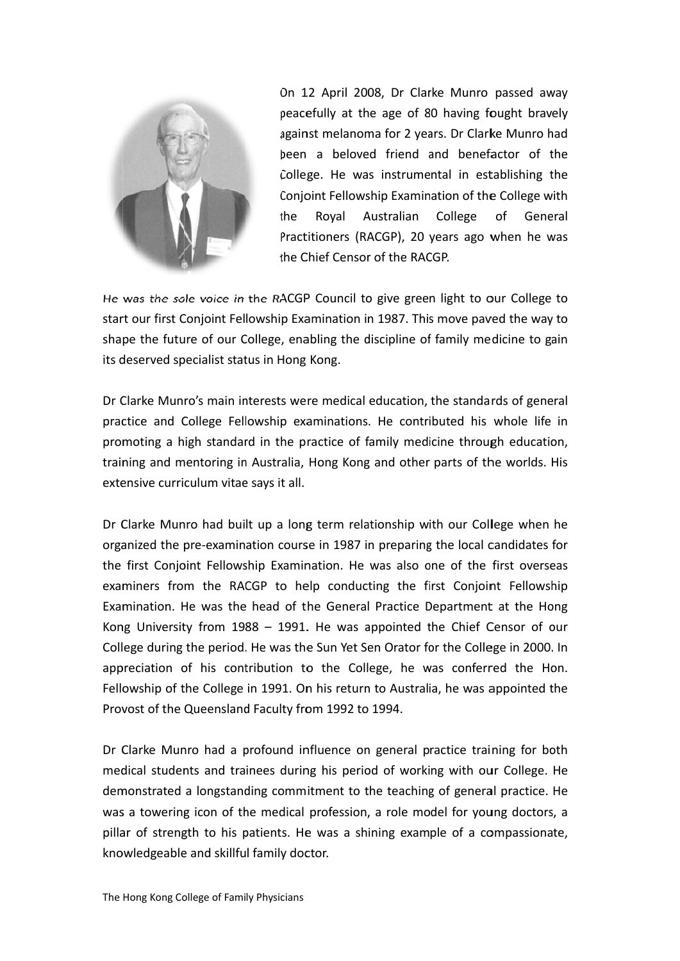

On 12 April 2008, Dr Clarke Munro passed away peacefully at the age of 80 having fought bravely against melanoma for 2 years. Dr Clarke Munro had been a beloved friend and benefactor of the College. He was instrumental in establishing the Conjoint Fellowship Examination of the College with the Royal Australian College of General Practitioners (RACGP), 20 years ago when he was the Chief Censor of the RACGP.

He was the sole voice in the RACGP Council to give green light to our College to start our first Conjoint Fellowship Examination in 1987. This move paved the way to shape the future of our College, enabling the discipline of family medicine to gain its deserved specialist status in Hong Kong.

Dr Clarke Munro's main interests were medical education, the standards of general practice and College Fellowship examinations. He contributed his whole life in promoting a high standard in the practice of family medicine through education, training and mentoring in Australia, Hong Kong and other parts of the worlds. His extensive curriculum vitae says it all.

Dr Clarke Munro had built up a long term relationship with our College when he organized the pre-examination course in 1987 in preparing the local candidates for the first Conjoint Fellowship Examination. He was also one of the first overseas examiners from the RACGP to help conducting the first Conjoint Fellowship Examination. He was the head of the General Practice Department at the Hong Kong University from  $1988 - 1991$ . He was appointed the Chief Censor of our College during the period. He was the Sun Yet Sen Orator for the College in 2000. In appreciation of his contribution to the College, he was conferred the Hon. Fellowship of the College in 1991. On his return to Australia, he was appointed the Provost of the Queensland Faculty from 1992 to 1994.

Dr Clarke Munro had a profound influence on general practice training for both medical students and trainees during his period of working with our College. He demonstrated a longstanding commitment to the teaching of general practice. He was a towering icon of the medical profession, a role model for young doctors, a pillar of strength to his patients. He was a shining example of a compassionate, knowledgeable and skillful family doctor.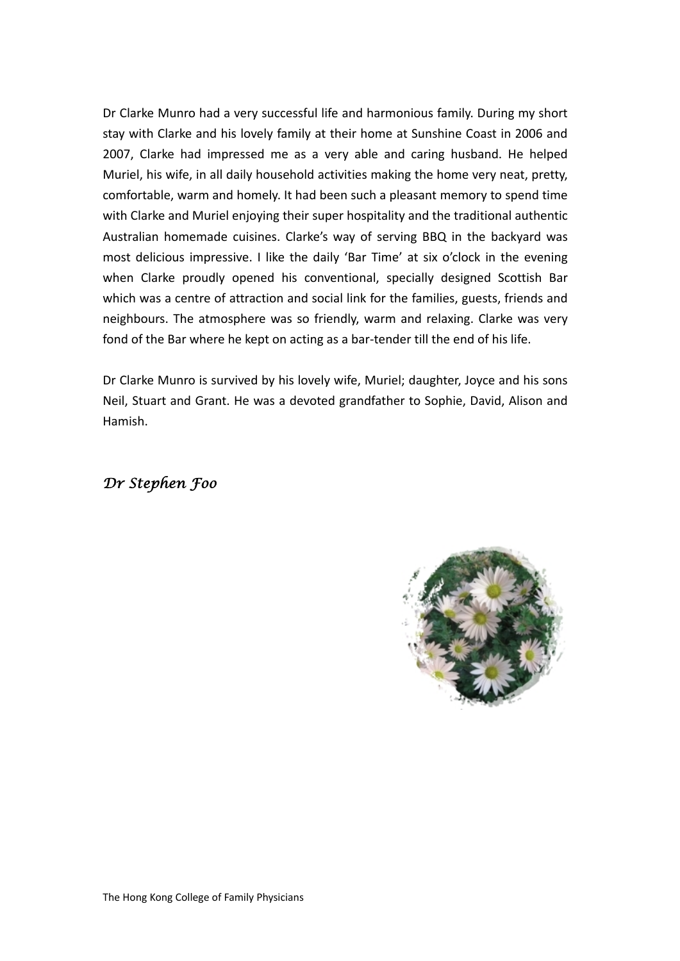Dr Clarke Munro had a very successful life and harmonious family. During my short stay with Clarke and his lovely family at their home at Sunshine Coast in 2006 and 2007, Clarke had impressed me as a very able and caring husband. He helped Muriel, his wife, in all daily household activities making the home very neat, pretty, comfortable, warm and homely. It had been such a pleasant memory to spend time with Clarke and Muriel enjoying their super hospitality and the traditional authentic Australian homemade cuisines. Clarke's way of serving BBQ in the backyard was most delicious impressive. I like the daily 'Bar Time' at six o'clock in the evening when Clarke proudly opened his conventional, specially designed Scottish Bar which was a centre of attraction and social link for the families, guests, friends and neighbours. The atmosphere was so friendly, warm and relaxing. Clarke was very fond of the Bar where he kept on acting as a bar-tender till the end of his life.

Dr Clarke Munro is survived by his lovely wife, Muriel; daughter, Joyce and his sons Neil, Stuart and Grant. He was a devoted grandfather to Sophie, David, Alison and Hamish.

# *Dr Stephen Foo*